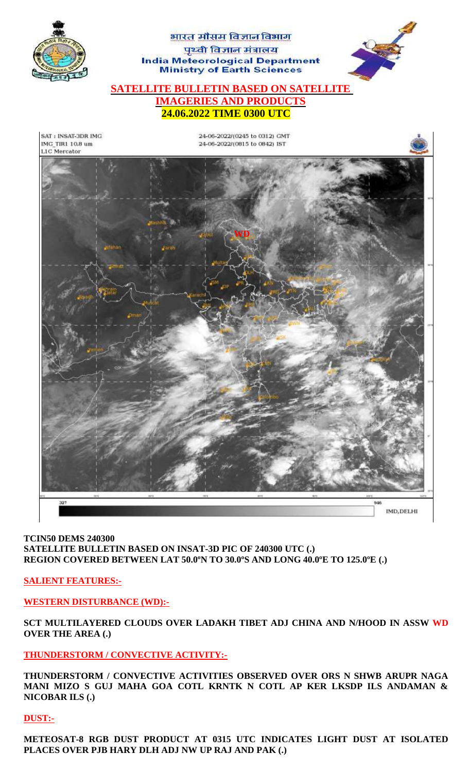

## **TCIN50 DEMS 240300 SATELLITE BULLETIN BASED ON INSAT-3D PIC OF 240300 UTC (.) REGION COVERED BETWEEN LAT 50.0ºN TO 30.0ºS AND LONG 40.0ºE TO 125.0ºE (.)**

**SALIENT FEATURES:-**

**WESTERN DISTURBANCE (WD):-**

**SCT MULTILAYERED CLOUDS OVER LADAKH TIBET ADJ CHINA AND N/HOOD IN ASSW WD OVER THE AREA (.)**

**THUNDERSTORM / CONVECTIVE ACTIVITY:-**

**THUNDERSTORM / CONVECTIVE ACTIVITIES OBSERVED OVER ORS N SHWB ARUPR NAGA MANI MIZO S GUJ MAHA GOA COTL KRNTK N COTL AP KER LKSDP ILS ANDAMAN & NICOBAR ILS (.)**

# **DUST:-**

**METEOSAT-8 RGB DUST PRODUCT AT 0315 UTC INDICATES LIGHT DUST AT ISOLATED PLACES OVER PJB HARY DLH ADJ NW UP RAJ AND PAK (.)**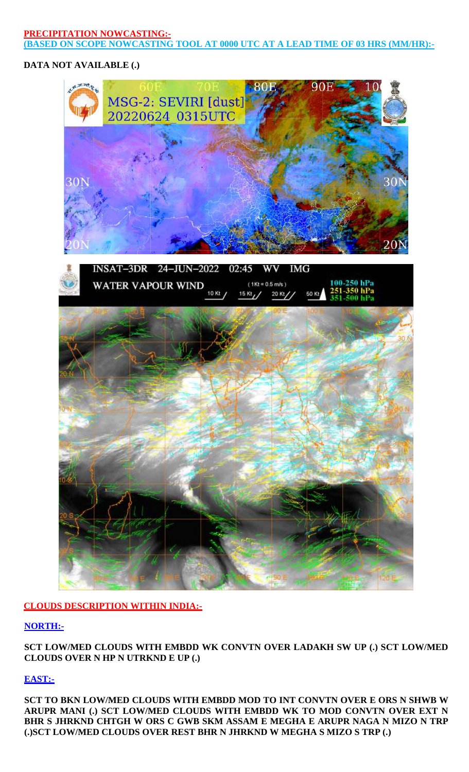### **PRECIPITATION NOWCASTING:- (BASED ON SCOPE NOWCASTING TOOL AT 0000 UTC AT A LEAD TIME OF 03 HRS (MM/HR):-**

# **DATA NOT AVAILABLE (.)**





# **CLOUDS DESCRIPTION WITHIN INDIA:-**

# **NORTH:-**

**SCT LOW/MED CLOUDS WITH EMBDD WK CONVTN OVER LADAKH SW UP (.) SCT LOW/MED CLOUDS OVER N HP N UTRKND E UP (.)**

# **EAST:-**

**SCT TO BKN LOW/MED CLOUDS WITH EMBDD MOD TO INT CONVTN OVER E ORS N SHWB W ARUPR MANI (.) SCT LOW/MED CLOUDS WITH EMBDD WK TO MOD CONVTN OVER EXT N BHR S JHRKND CHTGH W ORS C GWB SKM ASSAM E MEGHA E ARUPR NAGA N MIZO N TRP (.)SCT LOW/MED CLOUDS OVER REST BHR N JHRKND W MEGHA S MIZO S TRP (.)**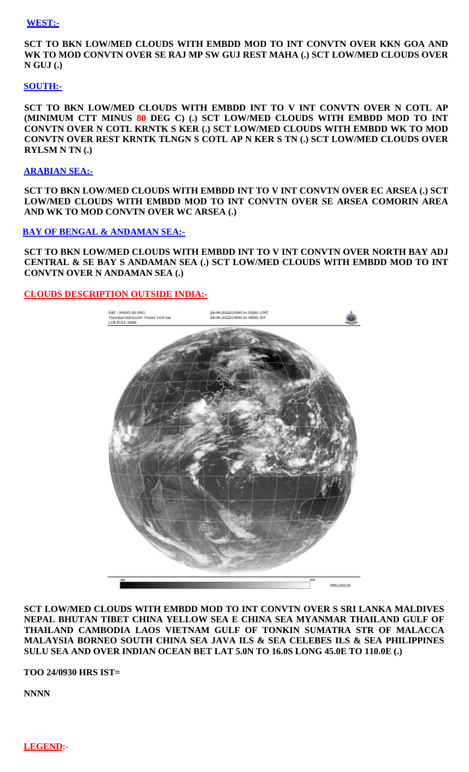#### **WEST:-**

**SCT TO BKN LOW/MED CLOUDS WITH EMBDD MOD TO INT CONVTN OVER KKN GOA AND WK TO MOD CONVTN OVER SE RAJ MP SW GUJ REST MAHA (.) SCT LOW/MED CLOUDS OVER N GUJ (.)**

### **SOUTH:-**

**SCT TO BKN LOW/MED CLOUDS WITH EMBDD INT TO V INT CONVTN OVER N COTL AP (MINIMUM CTT MINUS 80 DEG C) (.) SCT LOW/MED CLOUDS WITH EMBDD MOD TO INT CONVTN OVER N COTL KRNTK S KER (.) SCT LOW/MED CLOUDS WITH EMBDD WK TO MOD CONVTN OVER REST KRNTK TLNGN S COTL AP N KER S TN (.) SCT LOW/MED CLOUDS OVER RYLSM N TN (.)**

### **ARABIAN SEA:-**

**SCT TO BKN LOW/MED CLOUDS WITH EMBDD INT TO V INT CONVTN OVER EC ARSEA (.) SCT LOW/MED CLOUDS WITH EMBDD MOD TO INT CONVTN OVER SE ARSEA COMORIN AREA AND WK TO MOD CONVTN OVER WC ARSEA (.)** 

### **BAY OF BENGAL & ANDAMAN SEA:-**

**SCT TO BKN LOW/MED CLOUDS WITH EMBDD INT TO V INT CONVTN OVER NORTH BAY ADJ CENTRAL & SE BAY S ANDAMAN SEA (.) SCT LOW/MED CLOUDS WITH EMBDD MOD TO INT CONVTN OVER N ANDAMAN SEA (.)**

### **CLOUDS DESCRIPTION OUTSIDE INDIA:-**



**SCT LOW/MED CLOUDS WITH EMBDD MOD TO INT CONVTN OVER S SRI LANKA MALDIVES NEPAL BHUTAN TIBET CHINA YELLOW SEA E CHINA SEA MYANMAR THAILAND GULF OF THAILAND CAMBODIA LAOS VIETNAM GULF OF TONKIN SUMATRA STR OF MALACCA MALAYSIA BORNEO SOUTH CHINA SEA JAVA ILS & SEA CELEBES ILS & SEA PHILIPPINES SULU SEA AND OVER INDIAN OCEAN BET LAT 5.0N TO 16.0S LONG 45.0E TO 110.0E (.)** 

**TOO 24/0930 HRS IST=**

**NNNN**

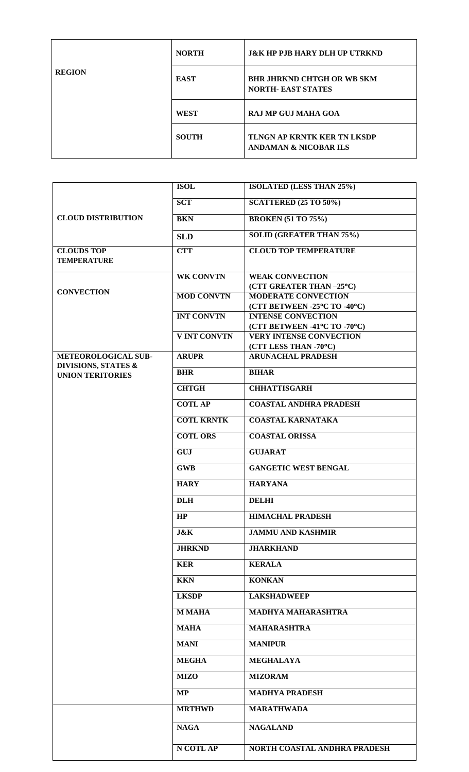| <b>REGION</b> | <b>NORTH</b> | <b>J&amp;K HP PJB HARY DLH UP UTRKND</b>                               |
|---------------|--------------|------------------------------------------------------------------------|
|               | <b>EAST</b>  | <b>BHR JHRKND CHTGH OR WB SKM</b><br><b>NORTH- EAST STATES</b>         |
|               | <b>WEST</b>  | <b>RAJ MP GUJ MAHA GOA</b>                                             |
|               | <b>SOUTH</b> | <b>TLNGN AP KRNTK KER TN LKSDP</b><br><b>ANDAMAN &amp; NICOBAR ILS</b> |

| <b>CLOUD DISTRIBUTION</b>               | <b>ISOL</b>         | <b>ISOLATED (LESS THAN 25%)</b> |
|-----------------------------------------|---------------------|---------------------------------|
|                                         | <b>SCT</b>          | <b>SCATTERED (25 TO 50%)</b>    |
|                                         | <b>BKN</b>          | <b>BROKEN</b> (51 TO 75%)       |
|                                         | <b>SLD</b>          | <b>SOLID (GREATER THAN 75%)</b> |
| <b>CLOUDS TOP</b><br><b>TEMPERATURE</b> | <b>CTT</b>          | <b>CLOUD TOP TEMPERATURE</b>    |
|                                         |                     |                                 |
|                                         | <b>WK CONVTN</b>    | <b>WEAK CONVECTION</b>          |
|                                         |                     | (CTT GREATER THAN-25°C)         |
| <b>CONVECTION</b>                       | <b>MOD CONVTN</b>   | <b>MODERATE CONVECTION</b>      |
|                                         |                     | (CTT BETWEEN -25°C TO -40°C)    |
|                                         | <b>INT CONVTN</b>   | <b>INTENSE CONVECTION</b>       |
|                                         |                     | (CTT BETWEEN -41°C TO -70°C)    |
|                                         | <b>V INT CONVTN</b> | <b>VERY INTENSE CONVECTION</b>  |
|                                         |                     | (CTT LESS THAN -70°C)           |
| METEOROLOGICAL SUB-                     | <b>ARUPR</b>        | <b>ARUNACHAL PRADESH</b>        |
| <b>DIVISIONS, STATES &amp;</b>          |                     |                                 |
| <b>UNION TERITORIES</b>                 | <b>BHR</b>          | <b>BIHAR</b>                    |
|                                         | <b>CHTGH</b>        | <b>CHHATTISGARH</b>             |
|                                         | <b>COTLAP</b>       | <b>COASTAL ANDHRA PRADESH</b>   |
|                                         | <b>COTL KRNTK</b>   | <b>COASTAL KARNATAKA</b>        |
|                                         | <b>COTL ORS</b>     | <b>COASTAL ORISSA</b>           |
|                                         | <b>GUJ</b>          | <b>GUJARAT</b>                  |
|                                         | <b>GWB</b>          | <b>GANGETIC WEST BENGAL</b>     |
|                                         | <b>HARY</b>         | <b>HARYANA</b>                  |
|                                         | <b>DLH</b>          | <b>DELHI</b>                    |
|                                         | HP                  | <b>HIMACHAL PRADESH</b>         |
|                                         | <b>J&amp;K</b>      | <b>JAMMU AND KASHMIR</b>        |
|                                         | <b>JHRKND</b>       | <b>JHARKHAND</b>                |
|                                         | <b>KER</b>          | <b>KERALA</b>                   |
|                                         | <b>KKN</b>          | <b>KONKAN</b>                   |
|                                         | <b>LKSDP</b>        | <b>LAKSHADWEEP</b>              |
|                                         | <b>M MAHA</b>       | MADHYA MAHARASHTRA              |
|                                         | <b>MAHA</b>         | <b>MAHARASHTRA</b>              |
|                                         | <b>MANI</b>         | <b>MANIPUR</b>                  |
|                                         | <b>MEGHA</b>        | <b>MEGHALAYA</b>                |
|                                         | <b>MIZO</b>         | <b>MIZORAM</b>                  |
|                                         | <b>MP</b>           | <b>MADHYA PRADESH</b>           |
|                                         | <b>MRTHWD</b>       | <b>MARATHWADA</b>               |
|                                         | <b>NAGA</b>         | <b>NAGALAND</b>                 |
|                                         | N COTL AP           | NORTH COASTAL ANDHRA PRADESH    |